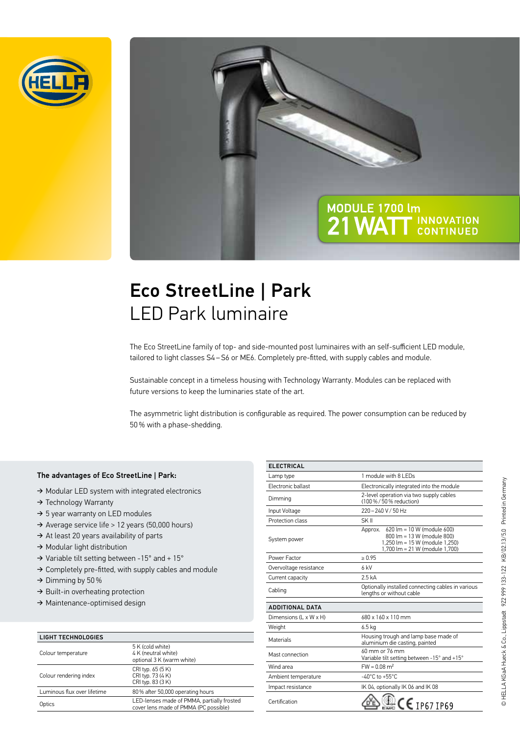

# MODULE 1700 lm 21 WATT INNOVATION

### Eco StreetLine | Park LED Park luminaire

The Eco StreetLine family of top- and side-mounted post luminaires with an self-sufficient LED module, tailored to light classes S4 – S6 or ME6. Completely pre-fitted, with supply cables and module.

Sustainable concept in a timeless housing with Technology Warranty. Modules can be replaced with future versions to keep the luminaries state of the art.

The asymmetric light distribution is configurable as required. The power consumption can be reduced by 50 % with a phase-shedding.

### The advantages of Eco StreetLine | Park:

- ➔ Modular LED system with integrated electronics
- ➔ Technology Warranty
- → 5 year warranty on LED modules
- ➔ Average service life > 12 years (50,000 hours)
- → At least 20 years availability of parts
- ➔ Modular light distribution
- ➔ Variable tilt setting between -15° and + 15°
- ➔ Completely pre-fitted, with supply cables and module
- $\rightarrow$  Dimming by 50 %
- → Built-in overheating protection
- ➔ Maintenance-optimised design

| <b>LIGHT TECHNOLOGIES</b>   |                                                                                     |
|-----------------------------|-------------------------------------------------------------------------------------|
| Colour temperature          | 5 K (cold white)<br>4 K (neutral white)<br>optional 3 K (warm white)                |
| Colour rendering index      | CRI typ. 65 (5 K)<br>CRI typ. 73 (4 K)<br>CRI typ. 83 (3 K)                         |
| Luminous flux over lifetime | 80% after 50,000 operating hours                                                    |
| Optics                      | LED-lenses made of PMMA, partially frosted<br>cover lens made of PMMA (PC possible) |

| <b>ELECTRICAL</b>      |                                                                                                                                      |
|------------------------|--------------------------------------------------------------------------------------------------------------------------------------|
| Lamp type              | 1 module with 8 LEDs                                                                                                                 |
| Electronic ballast     | Electronically integrated into the module                                                                                            |
| Dimming                | 2-level operation via two supply cables<br>(100%/50% reduction)                                                                      |
| Input Voltage          | 220-240 V/50 Hz                                                                                                                      |
| Protection class       | SK II                                                                                                                                |
| System power           | Approx. 620 lm = 10 W (module 600)<br>800 lm = 13 W (module 800)<br>1.250 lm = 15 W (module 1.250)<br>1,700 lm = 21 W (module 1,700) |
| Power Factor           | > 0.95                                                                                                                               |
| Overvoltage resistance | 6 kV                                                                                                                                 |
| Current capacity       | 2.5 kA                                                                                                                               |
| Cabling                | Optionally installed connecting cables in various<br>lengths or without cable                                                        |
| <b>ADDITIONAL DATA</b> |                                                                                                                                      |
| Dimensions (L x W x H) | 680 x 160 x 110 mm                                                                                                                   |
| Weight                 | 6.5 kg                                                                                                                               |
| <b>Materials</b>       | Housing trough and lamp base made of<br>aluminium die casting, painted                                                               |
| Mast connection        | 60 mm or 76 mm<br>Variable tilt setting between -15° and +15°                                                                        |
| Wind area              | $FW = 0.08$ m <sup>2</sup>                                                                                                           |
| Ambient temperature    | $-40^{\circ}$ C to $+55^{\circ}$ C                                                                                                   |
| Impact resistance      | IK 04, optionally IK 06 and IK 08                                                                                                    |
| Certification          | $\frac{3}{2}$ CE 1P67 1P69                                                                                                           |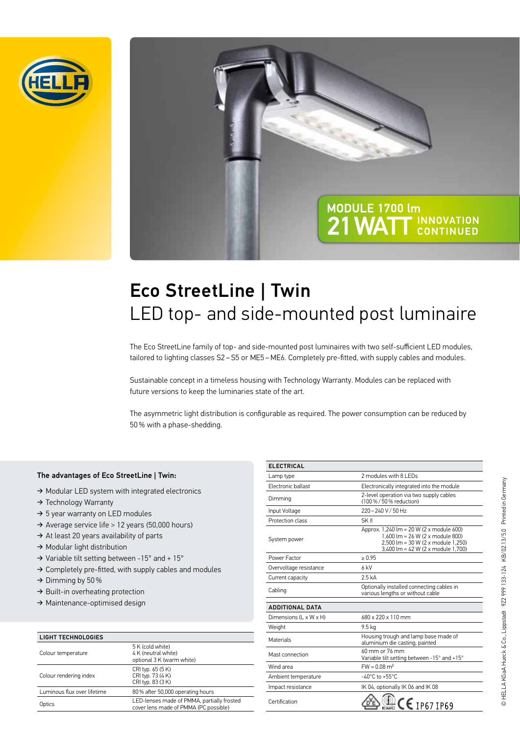

# MODULE 1700 lm 21 WATT **INNOVATION**

# Eco StreetLine | Twin LED top- and side-mounted post luminaire

The Eco StreetLine family of top- and side-mounted post luminaires with two self-sufficient LED modules, tailored to lighting classes S2 – S5 or ME5 – ME6. Completely pre-fitted, with supply cables and modules.

Sustainable concept in a timeless housing with Technology Warranty. Modules can be replaced with future versions to keep the luminaries state of the art.

The asymmetric light distribution is configurable as required. The power consumption can be reduced by 50 % with a phase-shedding.

### The advantages of Eco StreetLine | Twin:

- ➔ Modular LED system with integrated electronics
- ➔ Technology Warranty
- → 5 year warranty on LED modules
- ➔ Average service life > 12 years (50,000 hours)
- → At least 20 years availability of parts
- ➔ Modular light distribution
- ➔ Variable tilt setting between -15° and + 15°
- ➔ Completely pre-fitted, with supply cables and modules
- $\rightarrow$  Dimming by 50 %
- → Built-in overheating protection
- ➔ Maintenance-optimised design

| <b>LIGHT TECHNOLOGIES</b>   |                                                                                     |
|-----------------------------|-------------------------------------------------------------------------------------|
| Colour temperature          | 5 K (cold white)<br>4 K (neutral white)<br>optional 3 K (warm white)                |
| Colour rendering index      | CRI typ. 65 (5 K)<br>CRI typ. 73 (4 K)<br>CRI typ. 83 (3 K)                         |
| Luminous flux over lifetime | 80% after 50,000 operating hours                                                    |
| Optics                      | LED-lenses made of PMMA, partially frosted<br>cover lens made of PMMA (PC possible) |

| <b>ELECTRICAL</b>      |                                                                                                                                                          |
|------------------------|----------------------------------------------------------------------------------------------------------------------------------------------------------|
| Lamp type              | 2 modules with 81 FDs                                                                                                                                    |
| Electronic ballast     | Electronically integrated into the module                                                                                                                |
| Dimming                | 2-level operation via two supply cables<br>(100 % / 50 % reduction)                                                                                      |
| Input Voltage          | 220-240 V/50 Hz                                                                                                                                          |
| Protection class       | SK II                                                                                                                                                    |
| System power           | Approx. 1,240 lm = 20 W (2 x module 600)<br>1,600 lm = 26 W (2 x module 800)<br>2,500 lm = 30 W (2 x module 1,250)<br>3,400 lm = 42 W (2 x module 1,700) |
| Power Factor           | > 0.95                                                                                                                                                   |
| Overvoltage resistance | 6 kV                                                                                                                                                     |
| Current capacity       | 2.5 <sub>kA</sub>                                                                                                                                        |
| Cabling                | Optionally installed connecting cables in<br>various lengths or without cable                                                                            |
| <b>ADDITIONAL DATA</b> |                                                                                                                                                          |
| Dimensions (L x W x H) | 680 x 220 x 110 mm                                                                                                                                       |
| Weight                 | 9.5 kg                                                                                                                                                   |
| <b>Materials</b>       | Housing trough and lamp base made of<br>aluminium die casting, painted                                                                                   |
| Mast connection        | 60 mm or 76 mm<br>Variable tilt setting between -15° and +15°                                                                                            |
| Wind area              | $FW = 0.08$ m <sup>2</sup>                                                                                                                               |
| Ambient temperature    | $-40^{\circ}$ C to $+55^{\circ}$ C                                                                                                                       |
| Impact resistance      | IK 04, optionally IK 06 and IK 08                                                                                                                        |
| Certification          | $CE$ IP67 IP69                                                                                                                                           |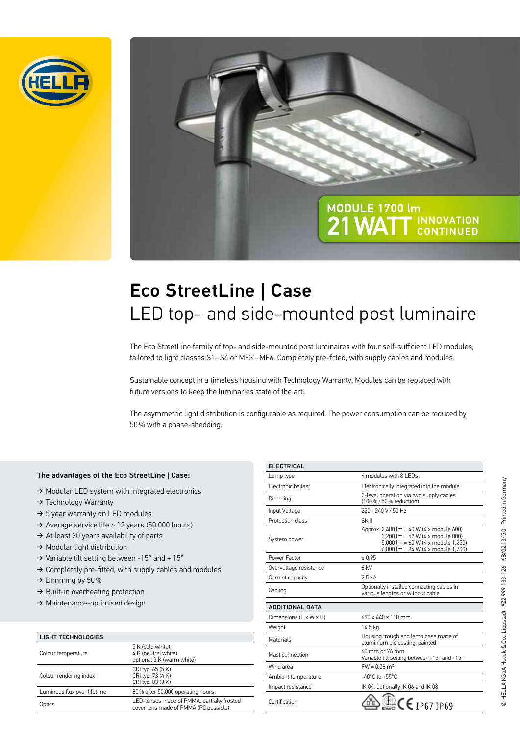

# MODULE 1700 lm **21 WAT INNOVATION**

# Eco StreetLine | Case LED top- and side-mounted post luminaire

The Eco StreetLine family of top- and side-mounted post luminaires with four self-sufficient LED modules, tailored to light classes S1-S4 or ME3-ME6. Completely pre-fitted, with supply cables and modules.

Sustainable concept in a timeless housing with Technology Warranty. Modules can be replaced with future versions to keep the luminaries state of the art.

The asymmetric light distribution is configurable as required. The power consumption can be reduced by 50 % with a phase-shedding.

### The advantages of the Eco StreetLine | Case:

- ➔ Modular LED system with integrated electronics
- ➔ Technology Warranty
- → 5 year warranty on LED modules
- ➔ Average service life > 12 years (50,000 hours)
- → At least 20 years availability of parts
- ➔ Modular light distribution
- ➔ Variable tilt setting between -15° and + 15°
- ➔ Completely pre-fitted, with supply cables and modules
- $\rightarrow$  Dimming by 50 %
- → Built-in overheating protection
- ➔ Maintenance-optimised design

| <b>LIGHT TECHNOLOGIES</b>   |                                                                                     |
|-----------------------------|-------------------------------------------------------------------------------------|
| Colour temperature          | 5 K (cold white)<br>4 K (neutral white)<br>optional 3 K (warm white)                |
| Colour rendering index      | CRI typ. 65 (5 K)<br>CRI typ. 73 (4 K)<br>CRI typ. 83 (3 K)                         |
| Luminous flux over lifetime | 80% after 50,000 operating hours                                                    |
| Optics                      | LED-lenses made of PMMA, partially frosted<br>cover lens made of PMMA (PC possible) |

| <b>ELECTRICAL</b>      |                                                                                                                                                          |
|------------------------|----------------------------------------------------------------------------------------------------------------------------------------------------------|
| Lamp type              | 4 modules with 8 LEDs                                                                                                                                    |
| Electronic ballast     | Electronically integrated into the module                                                                                                                |
| Dimming                | 2-level operation via two supply cables<br>(100%/50% reduction)                                                                                          |
| Input Voltage          | 220-240 V/50 Hz                                                                                                                                          |
| Protection class       | SK II                                                                                                                                                    |
| System power           | Approx. 2,480 lm = 40 W (4 x module 600)<br>3.200 lm = 52 W (4 x module 800)<br>5,000 lm = 60 W (4 x module 1,250)<br>6,800 lm = 84 W (4 x module 1,700) |
| Power Factor           | > 0.95                                                                                                                                                   |
| Overvoltage resistance | 6 kV                                                                                                                                                     |
| Current capacity       | 2.5 <sub>kA</sub>                                                                                                                                        |
| Cabling                | Optionally installed connecting cables in<br>various lengths or without cable                                                                            |
| <b>ADDITIONAL DATA</b> |                                                                                                                                                          |
| Dimensions (L x W x H) | 680 x 440 x 110 mm                                                                                                                                       |
| Weight                 | 14.5 kg                                                                                                                                                  |
| Materials              | Housing trough and lamp base made of<br>aluminium die casting, painted                                                                                   |
| Mast connection        | 60 mm or 76 mm<br>Variable tilt setting between -15° and +15°                                                                                            |
| Wind area              | $FW = 0.08$ m <sup>2</sup>                                                                                                                               |
| Ambient temperature    | $-40^{\circ}$ C to $+55^{\circ}$ C                                                                                                                       |
| Impact resistance      | IK 04, optionally IK 06 and IK 08                                                                                                                        |
| Certification          | $C \in$ [P67 IP69                                                                                                                                        |